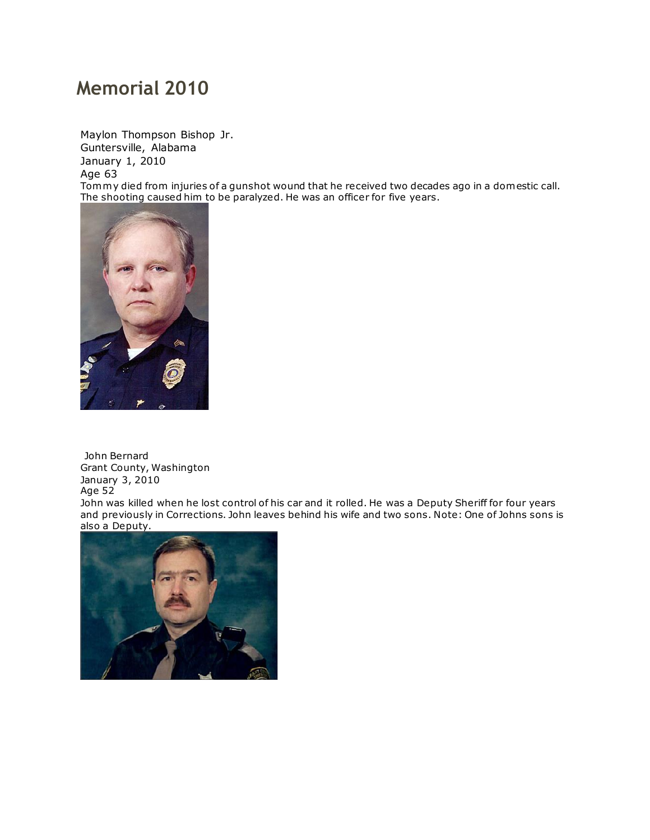## **Memorial 2010**

Maylon Thompson Bishop Jr. Guntersville, Alabama January 1, 2010 Age 63 Tommy died from injuries of a gunshot wound that he received two decades ago in a domestic call. The shooting caused him to be paralyzed. He was an officer for five years.



John Bernard Grant County, Washington January 3, 2010 Age 52

John was killed when he lost control of his car and it rolled. He was a Deputy Sheriff for four years and previously in Corrections. John leaves behind his wife and two sons. Note: One of Johns sons is also a Deputy.

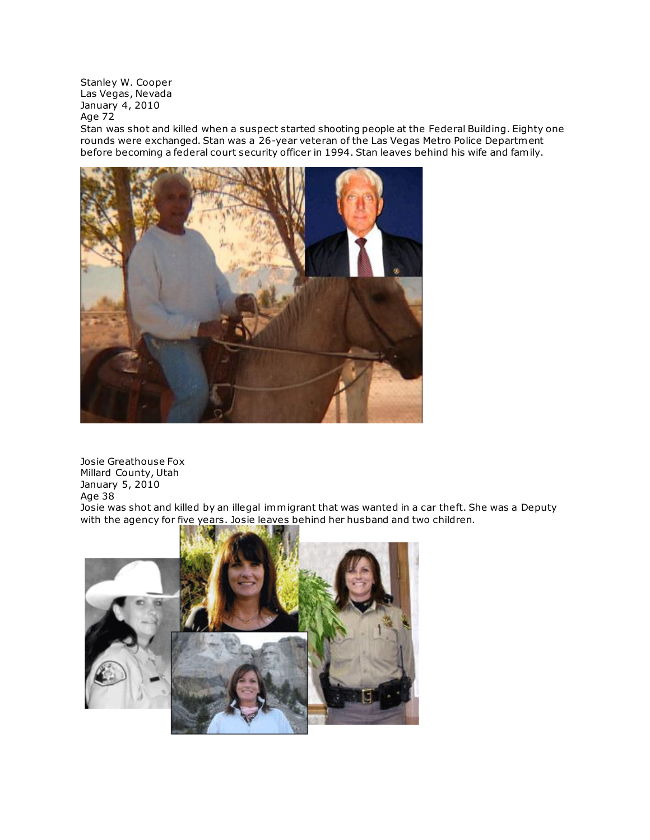Stanley W. Cooper Las Vegas, Nevada January 4, 2010 Age 72

Stan was shot and killed when a suspect started shooting people at the Federal Building. Eighty one rounds were exchanged. Stan was a 26-year veteran of the Las Vegas Metro Police Department before becoming a federal court security officer in 1994. Stan leaves behind his wife and family.



Josie Greathouse Fox Millard County, Utah January 5, 2010 Age 38 Josie was shot and killed by an illegal immigrant that was wanted in a car theft. She was a Deputy with the agency for five years. Josie leaves behind her husband and two children.

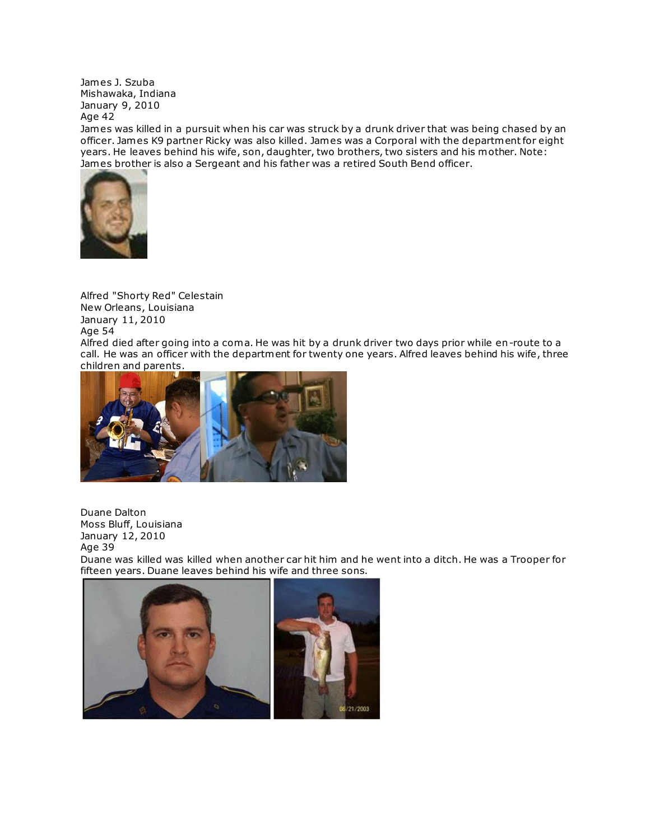James J. Szuba Mishawaka, Indiana January 9, 2010 Age 42

James was killed in a pursuit when his car was struck by a drunk driver that was being chased by an officer. James K9 partner Ricky was also killed. James was a Corporal with the department for eight years. He leaves behind his wife, son, daughter, two brothers, two sisters and his mother. Note: [James brother](http://www.copadorer.com/memorials/2010.html#thumb) is also a Sergeant and his father was a retired South Bend officer.



Alfred "Shorty Red" Celestain New Orleans, Louisiana January 11, 2010 Age 54

Alfred died after going into a coma. He was hit by a drunk driver two days prior while en-route to a call. He was an officer with the department for twenty one years. Alfred leaves behind his wife, three children and parents.



Duane Dalton Moss Bluff, Louisiana January 12, 2010 Age 39 Duane was killed was killed when another car hit him and he went into a ditch. He was a Trooper for fifteen years. Duane leaves behind his wife and three sons.

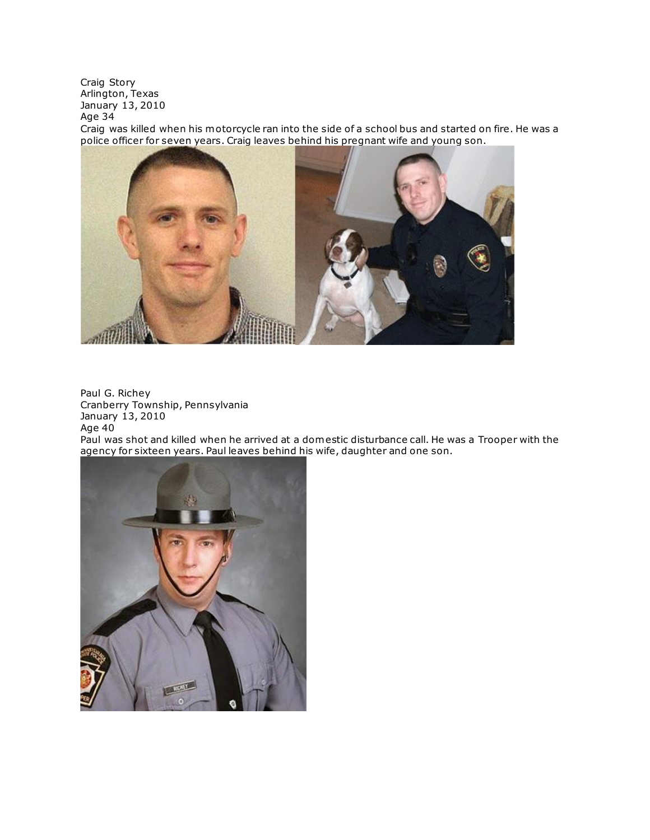Craig Story Arlington, Texas January 13, 2010 Age 34

Craig was killed when his motorcycle ran into the side of a school bus and started on fire. He was a [police officer for seven years. Craig leaves behind his pregnant wife and young son.](http://www.copadorer.com/memorials/2010.html#thumb)



Paul G. Richey Cranberry Township, Pennsylvania January 13, 2010 Age  $40$ 

Paul was shot and killed when he arrived at a domestic disturbance call. He was a Trooper with the agency for sixteen years. Paul leaves behind his wife, daughter and one son.

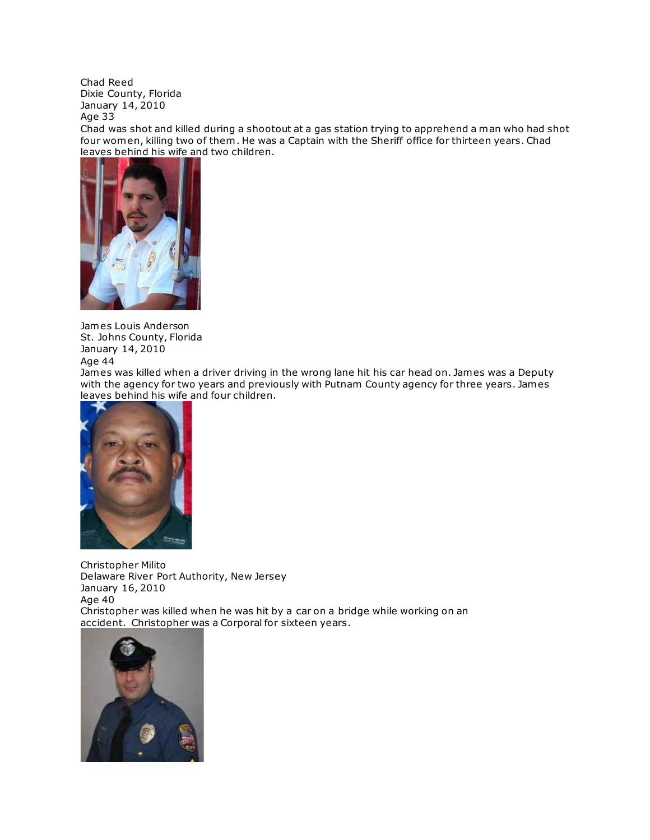Chad Reed Dixie County, Florida January 14, 2010 Age 33

Chad was shot and killed during a shootout at a gas station trying to apprehend a man who had shot four women, killing two of them . He was a Captain with the Sheriff office for thirteen years. Chad leaves behind his wife and two children.



James Louis Anderson St. Johns County, Florida January 14, 2010 Age 44

James was killed when a driver driving in the wrong lane hit his car head on. James was a Deputy with the agency for two years and previously with Putnam County agency for three years. James leaves behind his wife and four children.



Christopher Milito Delaware River Port Authority, New Jersey January 16, 2010 Age 40 Christopher was killed when he was hit by a car on a bridge while working on an accident. [Christopher wa](http://www.copadorer.com/memorials/2010.html#thumb)s a Corporal for sixteen years.

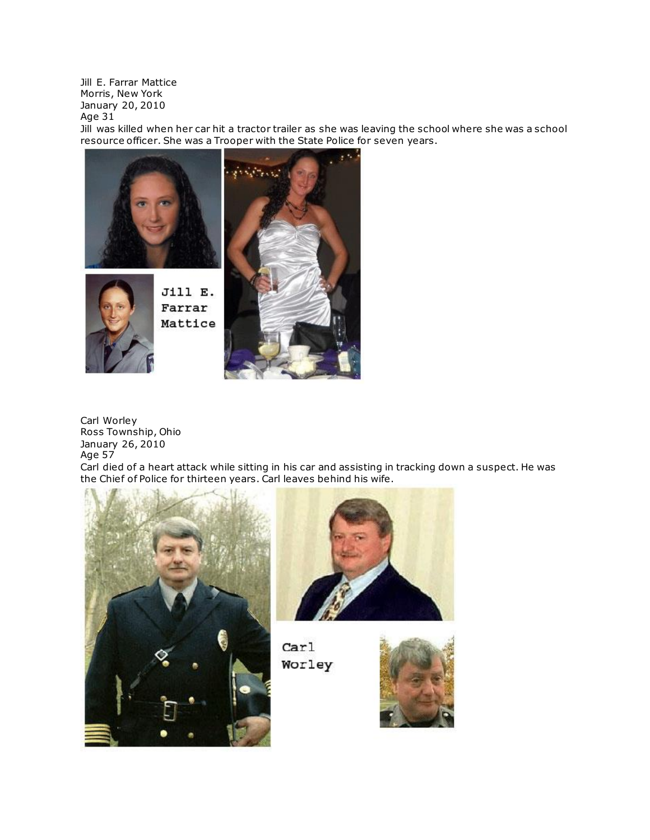Jill E. Farrar Mattice Morris, New York January 20, 2010 Age 31

Jill was killed when her car hit a tractor trailer as she was leaving the school where she was a school [resource officer. She was a Trooper with the State Police fo](http://www.copadorer.com/memorials/2010.html#thumb)r seven years.





Jill E. Farrar Mattice



Carl Worley Ross Township, Ohio January 26, 2010 Age 57

Carl died of a heart attack while sitting in his car and assisting in tracking down a suspect. He was the Chief of Police for thirteen years. Carl leaves behind his wife.





 $\text{Car}1$ Worley

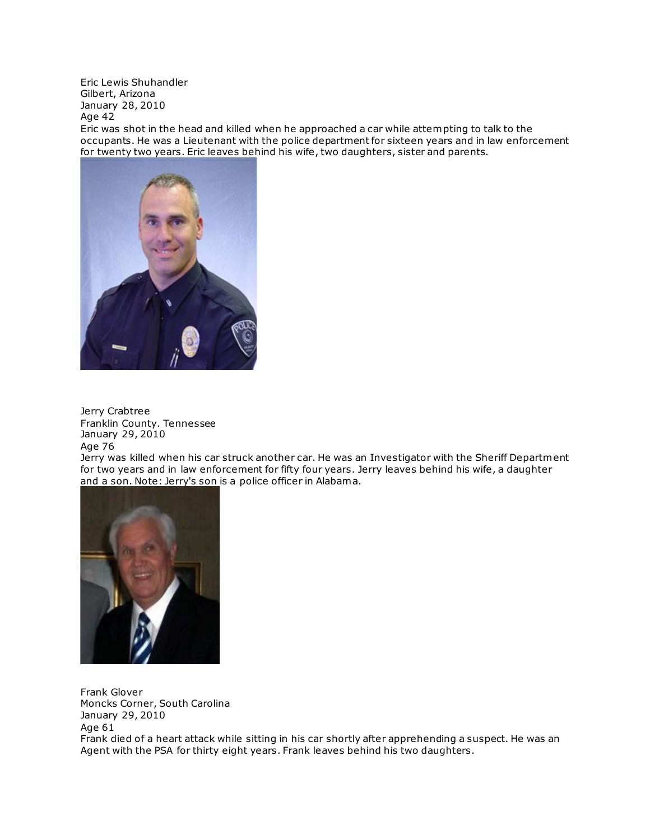Eric Lewis Shuhandler Gilbert, Arizona January 28, 2010 Age 42

Eric was shot in the head and killed when he approached a car while attempting to talk to the occupants. He was a Lieutenant with the police department for sixteen years and in law enforcement for twenty two years. Eric leaves behind his wife, two daughters, sister and parents.



Jerry Crabtree Franklin County. Tennessee January 29, 2010 Age 76

Jerry was killed when his car struck another car. He was an Investigator with the Sheriff Department for two years and in law enforcement for fifty four years. Jerry leaves behind his wife, a daughter and a son. Note: Jerry's son is a police officer in Alabama.



Frank Glover Moncks Corner, South Carolina January 29, 2010 Age 61 Frank died of a heart attack while sitting in his car shortly after apprehending a suspect. He was an Agent with the PSA for thirty eight years. Frank leaves behind his two daughters.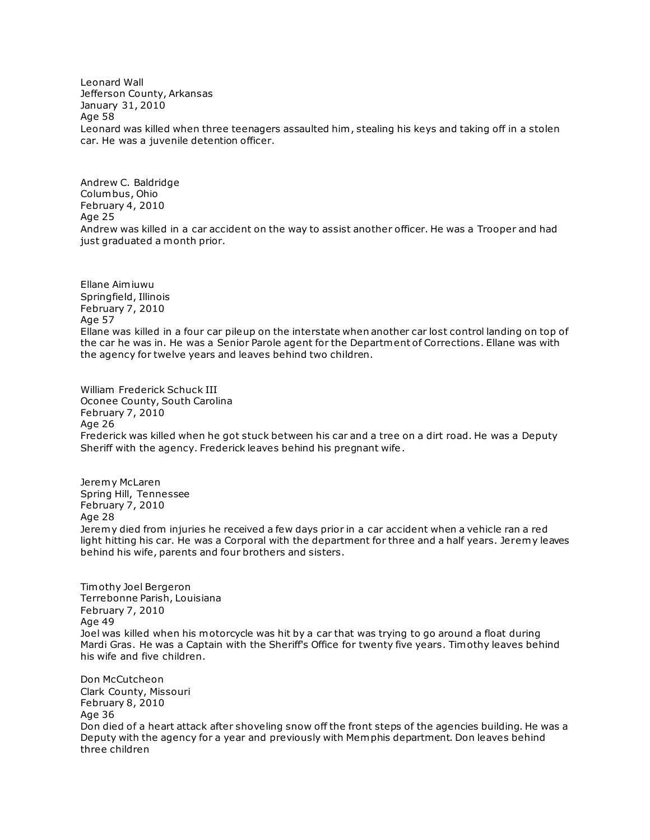Leonard Wall Jefferson County, Arkansas January 31, 2010 Age 58 Leonard was killed when three teenagers assaulted him , stealing his keys and taking off in a stolen car. He was a juvenile detention officer.

Andrew C. Baldridge Columbus, Ohio February 4, 2010 Age 25 Andrew was killed in a car accident on the way to assist another officer. He was a Trooper and had just graduated a month prior.

Ellane Aimiuwu Springfield, Illinois February 7, 2010 Age 57 Ellane was killed in a four car pileup on the interstate when another car lost control landing on top of the car he was in. He was a Senior Parole agent for the Department of Corrections. Ellane was with the agency for twelve years and leaves behind two children.

William Frederick Schuck III Oconee County, South Carolina February 7, 2010 Age 26 Frederick was killed when he got stuck between his car and a tree on a dirt road. He was a Deputy Sheriff with the agency. Frederick leaves behind his pregnant wife.

Jeremy McLaren Spring Hill, Tennessee February 7, 2010 Age 28 Jeremy died from injuries he received a few days prior in a car accident when a vehicle ran a red light hitting his car. He was a Corporal with the department for three and a half years. Jeremy leaves behind his wife, parents and four brothers and sisters.

Timothy Joel Bergeron Terrebonne Parish, Louisiana February 7, 2010 Age 49 Joel was killed when his motorcycle was hit by a car that was trying to go around a float during Mardi Gras. He was a Captain with the Sheriff's Office for twenty five years. Timothy leaves behind his wife and five children.

Don McCutcheon Clark County, Missouri February 8, 2010 Age 36 Don died of a heart attack after shoveling snow off the front steps of the agencies building. He was a Deputy with the agency for a year and previously with Memphis department. Don leaves behind three children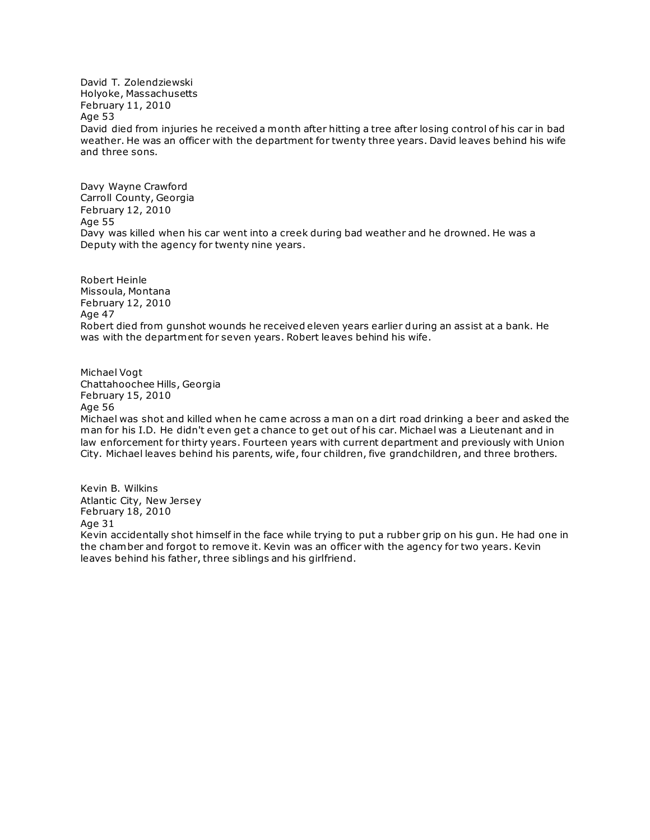David T. Zolendziewski Holyoke, Massachusetts February 11, 2010 Age 53 David died from injuries he received a month after hitting a tree after losing control of his car in bad weather. He was an officer with the department for twenty three years. David leaves behind his wife and three sons.

Davy Wayne Crawford Carroll County, Georgia February 12, 2010 Age 55 Davy was killed when his car went into a creek during bad weather and he drowned. He was a Deputy with the agency for twenty nine years.

Robert Heinle Missoula, Montana February 12, 2010 Age 47 Robert died from gunshot wounds he received eleven years earlier during an assist at a bank. He was with the department for seven years. Robert leaves behind his wife.

Michael Vogt Chattahoochee Hills, Georgia February 15, 2010 Age 56

Michael was shot and killed when he came across a man on a dirt road drinking a beer and asked the man for his I.D. He didn't even get a chance to get out of his car. Michael was a Lieutenant and in law enforcement for thirty years. Fourteen years with current department and previously with Union City. Michael leaves behind his parents, wife, four children, five grandchildren, and three brothers.

Kevin B. Wilkins Atlantic City, New Jersey February 18, 2010 Age 31 Kevin accidentally shot himself in the face while trying to put a rubber grip on his gun. He had one in the chamber and forgot to remove it. Kevin was an officer with the agency for two years. Kevin leaves behind his father, three siblings and his girlfriend.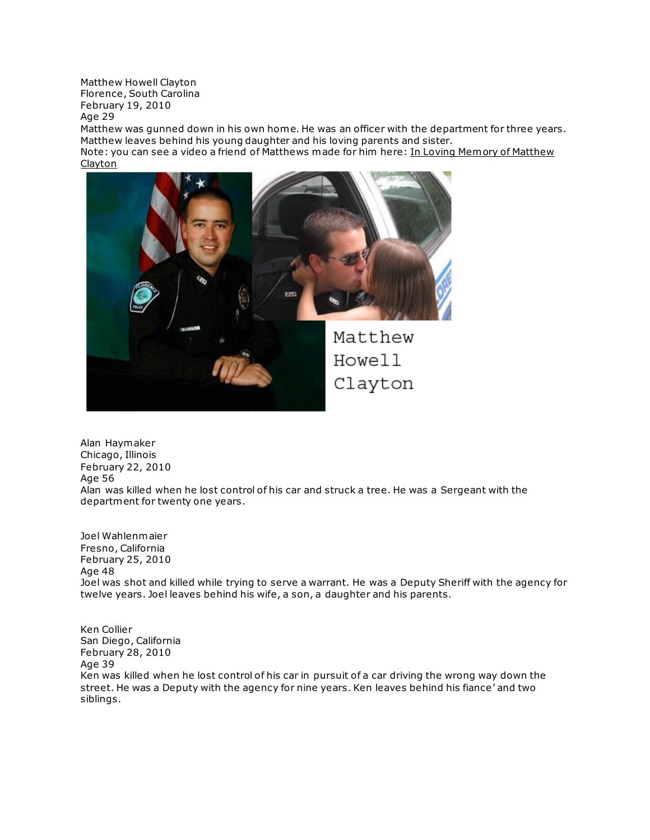Matthew Howell Clayton Florence, South Carolina February 19, 2010 Age 29

Matthew was gunned down in his own home. He was an officer with the department for three years. Matthew leaves behind his young daughter and his loving parents and sister.

Note: you can see a video a friend of Matthews made for him here: In Loving Memory of Matthew **[Clayton](http://www.youtube.com/watch?v=bhgX1ggnHSE)** 



Alan Haymaker Chicago, Illinois February 22, 2010 Age 56 Alan was killed when he lost control of his car and struck a tree. He was a Sergeant with the department for twenty one years.

Joel Wahlenmaier Fresno, California February 25, 2010 Age 48 Joel was shot and killed while trying to serve a warrant. He was a Deputy Sheriff with the agency for twelve years. Joel leaves behind his wife, a son, a daughter and his parents.

Ken Collier San Diego, California February 28, 2010 Age 39 Ken was killed when he lost control of his car in pursuit of a car driving the wrong way down the street. He was a Deputy with the agency for nine years. Ken leaves behind his fiance' and two siblings.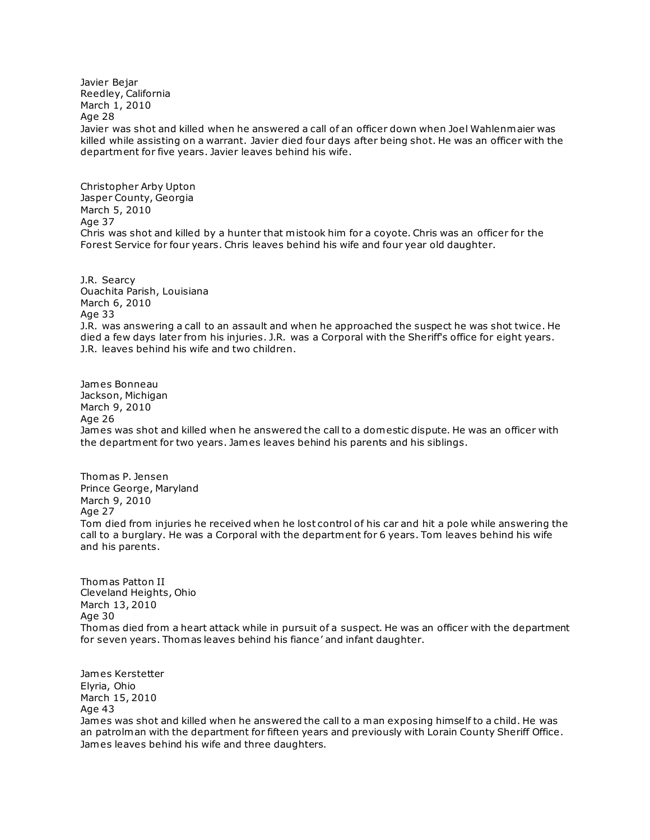Javier Bejar Reedley, California March 1, 2010 Age 28 Javier was shot and killed when he answered a call of an officer down when Joel Wahlenmaier was killed while assisting on a warrant. Javier died four days after being shot. He was an officer with the department for five years. Javier leaves behind his wife.

Christopher Arby Upton Jasper County, Georgia March 5, 2010 Age 37 Chris was shot and killed by a hunter that mistook him for a coyote. Chris was an officer for the Forest Service for four years. Chris leaves behind his wife and four year old daughter.

J.R. Searcy Ouachita Parish, Louisiana March 6, 2010 Age 33 J.R. was answering a call to an assault and when he approached the suspect he was shot twice. He died a few days later from his injuries. J.R. was a Corporal with the Sheriff's office for eight years. J.R. leaves behind his wife and two children.

James Bonneau Jackson, Michigan March 9, 2010 Age 26 James was shot and killed when he answered the call to a domestic dispute. He was an officer with the department for two years. James leaves behind his parents and his siblings.

Thomas P. Jensen Prince George, Maryland March 9, 2010 Age 27 Tom died from injuries he received when he lost control of his car and hit a pole while answering the call to a burglary. He was a Corporal with the department for 6 years. Tom leaves behind his wife and his parents.

Thomas Patton II Cleveland Heights, Ohio March 13, 2010 Age 30 Thomas died from a heart attack while in pursuit of a suspect. He was an officer with the department for seven years. Thomas leaves behind his fiance' and infant daughter.

James Kerstetter Elyria, Ohio March 15, 2010 Age 43 James was shot and killed when he answered the call to a man exposing himself to a child. He was an patrolman with the department for fifteen years and previously with Lorain County Sheriff Office. James leaves behind his wife and three daughters.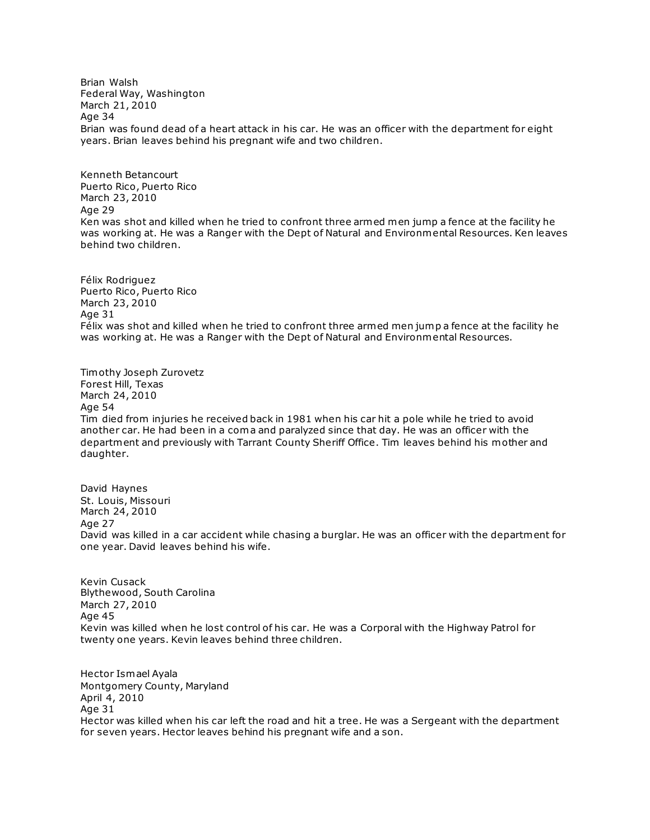Brian Walsh Federal Way, Washington March 21, 2010 Age 34 Brian was found dead of a heart attack in his car. He was an officer with the department for eight years. Brian leaves behind his pregnant wife and two children.

Kenneth Betancourt Puerto Rico, Puerto Rico March 23, 2010 Age 29 Ken was shot and killed when he tried to confront three armed men jump a fence at the facility he was working at. He was a Ranger with the Dept of Natural and Environmental Resources. Ken leaves behind two children.

Félix Rodriguez Puerto Rico, Puerto Rico March 23, 2010 Age 31 Félix was shot and killed when he tried to confront three armed men jump a fence at the facility he was working at. He was a Ranger with the Dept of Natural and Environmental Resources.

Timothy Joseph Zurovetz Forest Hill, Texas March 24, 2010 Age 54 Tim died from injuries he received back in 1981 when his car hit a pole while he tried to avoid another car. He had been in a coma and paralyzed since that day. He was an officer with the department and previously with Tarrant County Sheriff Office. Tim leaves behind his mother and daughter.

David Haynes St. Louis, Missouri March 24, 2010 Age 27 David was killed in a car accident while chasing a burglar. He was an officer with the department for one year. David leaves behind his wife.

Kevin Cusack Blythewood, South Carolina March 27, 2010 Age 45 Kevin was killed when he lost control of his car. He was a Corporal with the Highway Patrol for twenty one years. Kevin leaves behind three children.

Hector Ismael Ayala Montgomery County, Maryland April 4, 2010 Age 31 Hector was killed when his car left the road and hit a tree. He was a Sergeant with the department for seven years. Hector leaves behind his pregnant wife and a son.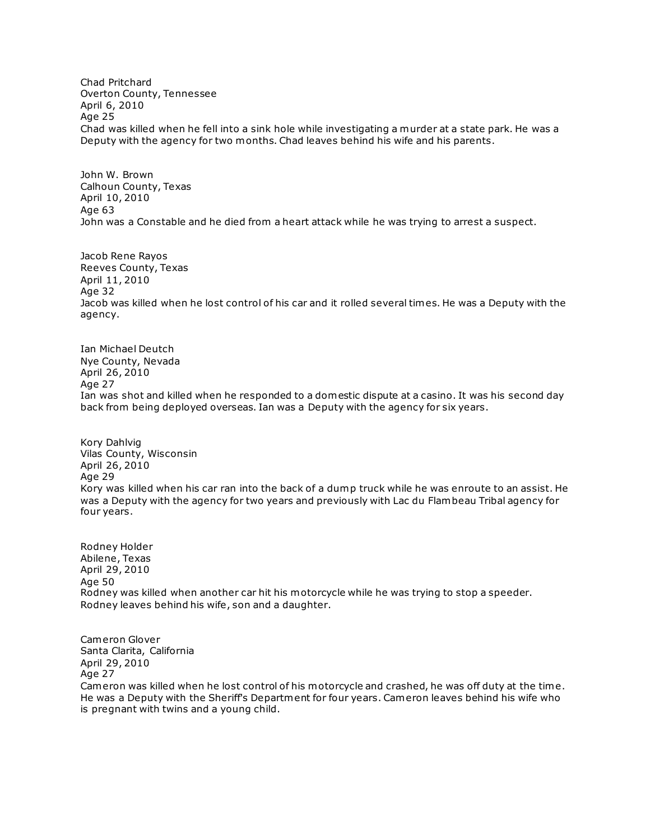Chad Pritchard Overton County, Tennessee April 6, 2010 Age 25 Chad was killed when he fell into a sink hole while investigating a murder at a state park. He was a Deputy with the agency for two months. Chad leaves behind his wife and his parents.

John W. Brown Calhoun County, Texas April 10, 2010 Age 63 John was a Constable and he died from a heart attack while he was trying to arrest a suspect.

Jacob Rene Rayos Reeves County, Texas April 11, 2010 Age 32 Jacob was killed when he lost control of his car and it rolled several times. He was a Deputy with the agency.

Ian Michael Deutch Nye County, Nevada April 26, 2010 Age 27 Ian was shot and killed when he responded to a domestic dispute at a casino. It was his second day back from being deployed overseas. Ian was a Deputy with the agency for six years.

Kory Dahlvig Vilas County, Wisconsin April 26, 2010 Age 29 Kory was killed when his car ran into the back of a dump truck while he was enroute to an assist. He was a Deputy with the agency for two years and previously with Lac du Flambeau Tribal agency for four years.

Rodney Holder Abilene, Texas April 29, 2010 Age 50 Rodney was killed when another car hit his motorcycle while he was trying to stop a speeder. Rodney leaves behind his wife, son and a daughter.

Cameron Glover Santa Clarita, California April 29, 2010 Age 27

Cameron was killed when he lost control of his motorcycle and crashed, he was off duty at the time. He was a Deputy with the Sheriff's Department for four years. Cameron leaves behind his wife who is pregnant with twins and a young child.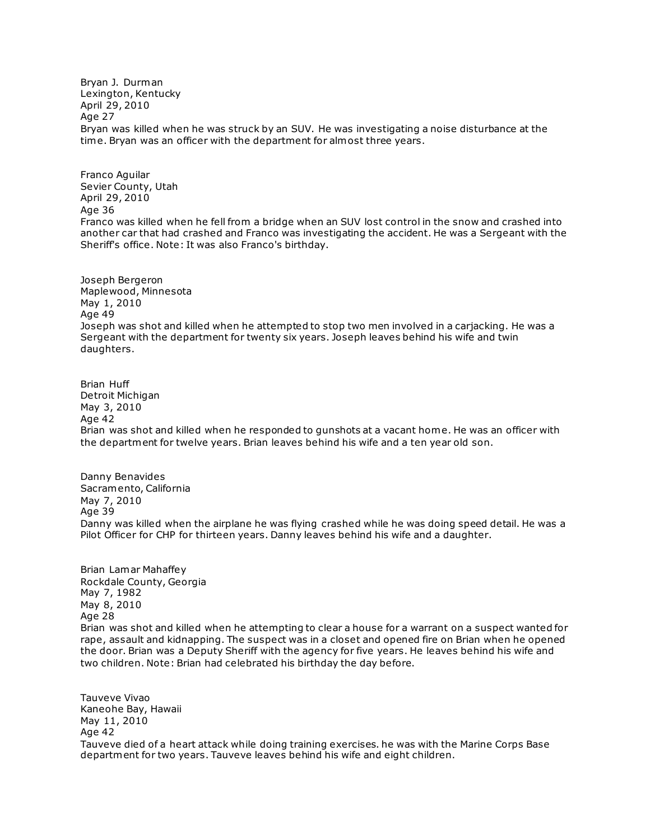Bryan J. Durman Lexington, Kentucky April 29, 2010 Age 27 Bryan was killed when he was struck by an SUV. He was investigating a noise disturbance at the time. Bryan was an officer with the department for almost three years.

Franco Aguilar Sevier County, Utah April 29, 2010 Age 36 Franco was killed when he fell from a bridge when an SUV lost control in the snow and crashed into another car that had crashed and Franco was investigating the accident. He was a Sergeant with the Sheriff's office. Note: It was also Franco's birthday.

Joseph Bergeron Maplewood, Minnesota May 1, 2010 Age 49 Joseph was shot and killed when he attempted to stop two men involved in a carjacking. He was a Sergeant with the department for twenty six years. Joseph leaves behind his wife and twin daughters.

Brian Huff Detroit Michigan May 3, 2010 Age 42 Brian was shot and killed when he responded to gunshots at a vacant home. He was an officer with the department for twelve years. Brian leaves behind his wife and a ten year old son.

Danny Benavides Sacramento, California May 7, 2010 Age 39 Danny was killed when the airplane he was flying crashed while he was doing speed detail. He was a Pilot Officer for CHP for thirteen years. Danny leaves behind his wife and a daughter.

Brian Lamar Mahaffey Rockdale County, Georgia May 7, 1982 May 8, 2010 Age 28 Brian was shot and killed when he attempting to clear a house for a warrant on a suspect wanted for rape, assault and kidnapping. The suspect was in a closet and opened fire on Brian when he opened the door. Brian was a Deputy Sheriff with the agency for five years. He leaves behind his wife and two children. Note: Brian had celebrated his birthday the day before.

Tauveve Vivao Kaneohe Bay, Hawaii May 11, 2010 Age 42 Tauveve died of a heart attack while doing training exercises. he was with the Marine Corps Base department for two years. Tauveve leaves behind his wife and eight children.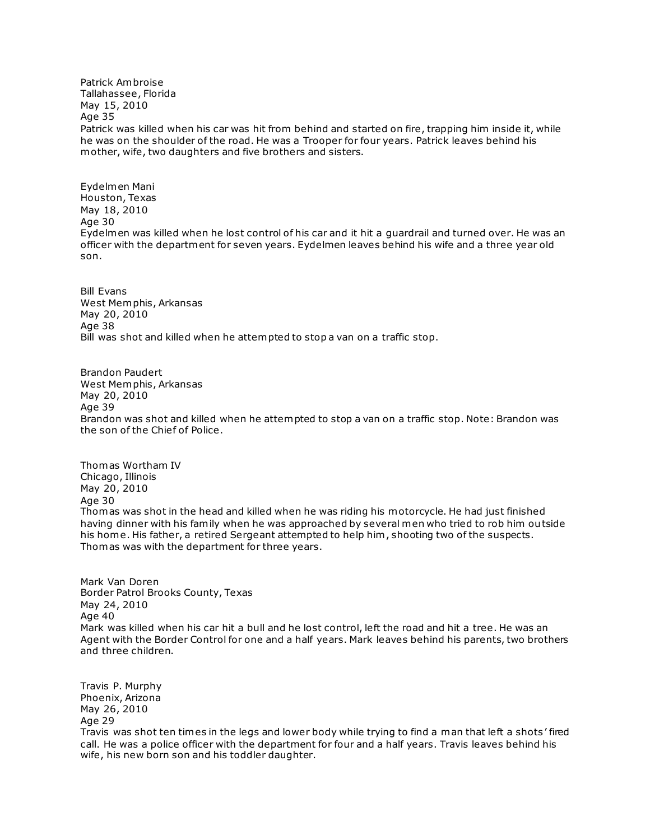Patrick Ambroise Tallahassee, Florida May 15, 2010 Age 35 Patrick was killed when his car was hit from behind and started on fire, trapping him inside it, while he was on the shoulder of the road. He was a Trooper for four years. Patrick leaves behind his mother, wife, two daughters and five brothers and sisters.

Eydelmen Mani Houston, Texas May 18, 2010 Age 30 Eydelmen was killed when he lost control of his car and it hit a guardrail and turned over. He was an officer with the department for seven years. Eydelmen leaves behind his wife and a three year old son.

Bill Evans West Memphis, Arkansas May 20, 2010 Age 38 Bill was shot and killed when he attempted to stop a van on a traffic stop.

Brandon Paudert West Memphis, Arkansas May 20, 2010 Age 39 Brandon was shot and killed when he attempted to stop a van on a traffic stop. Note: Brandon was the son of the Chief of Police.

Thomas Wortham IV Chicago, Illinois May 20, 2010 Age 30 Thomas was shot in the head and killed when he was riding his motorcycle. He had just finished having dinner with his family when he was approached by several men who tried to rob him outside his home. His father, a retired Sergeant attempted to help him , shooting two of the suspects. Thomas was with the department for three years.

Mark Van Doren Border Patrol Brooks County, Texas May 24, 2010 Age 40 Mark was killed when his car hit a bull and he lost control, left the road and hit a tree. He was an Agent with the Border Control for one and a half years. Mark leaves behind his parents, two brothers and three children.

Travis P. Murphy Phoenix, Arizona May 26, 2010 Age 29 Travis was shot ten times in the legs and lower body while trying to find a man that left a shots ' fired call. He was a police officer with the department for four and a half years. Travis leaves behind his wife, his new born son and his toddler daughter.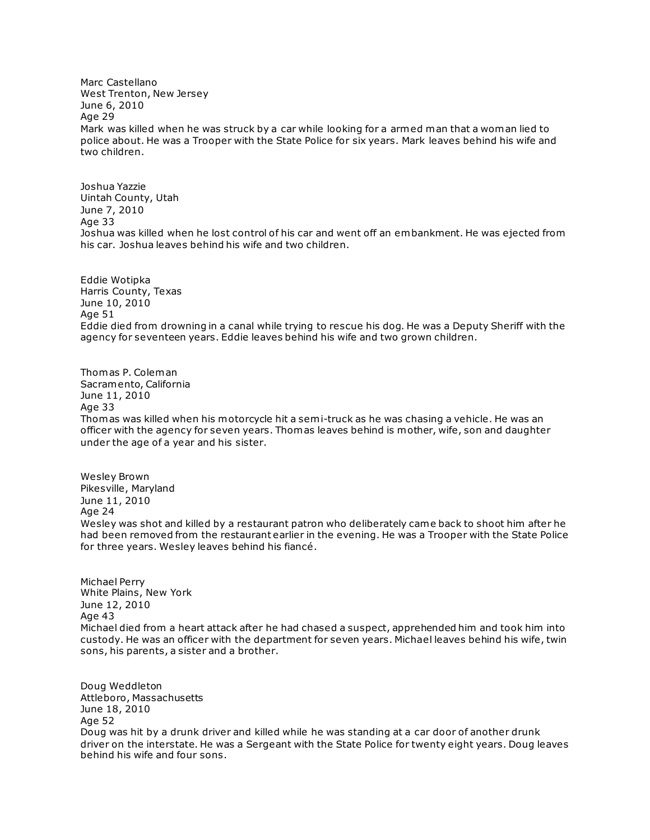Marc Castellano West Trenton, New Jersey June 6, 2010 Age 29 Mark was killed when he was struck by a car while looking for a armed man that a woman lied to police about. He was a Trooper with the State Police for six years. Mark leaves behind his wife and two children.

Joshua Yazzie Uintah County, Utah June 7, 2010 Age 33 Joshua was killed when he lost control of his car and went off an embankment. He was ejected from his car. Joshua leaves behind his wife and two children.

Eddie Wotipka Harris County, Texas June 10, 2010 Age 51 Eddie died from drowning in a canal while trying to rescue his dog. He was a Deputy Sheriff with the agency for seventeen years. Eddie leaves behind his wife and two grown children.

Thomas P. Coleman Sacramento, California June 11, 2010 Age 33 Thomas was killed when his motorcycle hit a semi-truck as he was chasing a vehicle. He was an officer with the agency for seven years. Thomas leaves behind is mother, wife, son and daughter under the age of a year and his sister.

Wesley Brown Pikesville, Maryland June 11, 2010 Age 24 Wesley was shot and killed by a restaurant patron who deliberately came back to shoot him after he had been removed from the restaurant earlier in the evening. He was a Trooper with the State Police for three years. Wesley leaves behind his fiancé.

Michael Perry White Plains, New York June 12, 2010 Age 43 Michael died from a heart attack after he had chased a suspect, apprehended him and took him into custody. He was an officer with the department for seven years. Michael leaves behind his wife, twin sons, his parents, a sister and a brother.

Doug Weddleton Attleboro, Massachusetts June 18, 2010 Age 52 Doug was hit by a drunk driver and killed while he was standing at a car door of another drunk driver on the interstate. He was a Sergeant with the State Police for twenty eight years. Doug leaves behind his wife and four sons.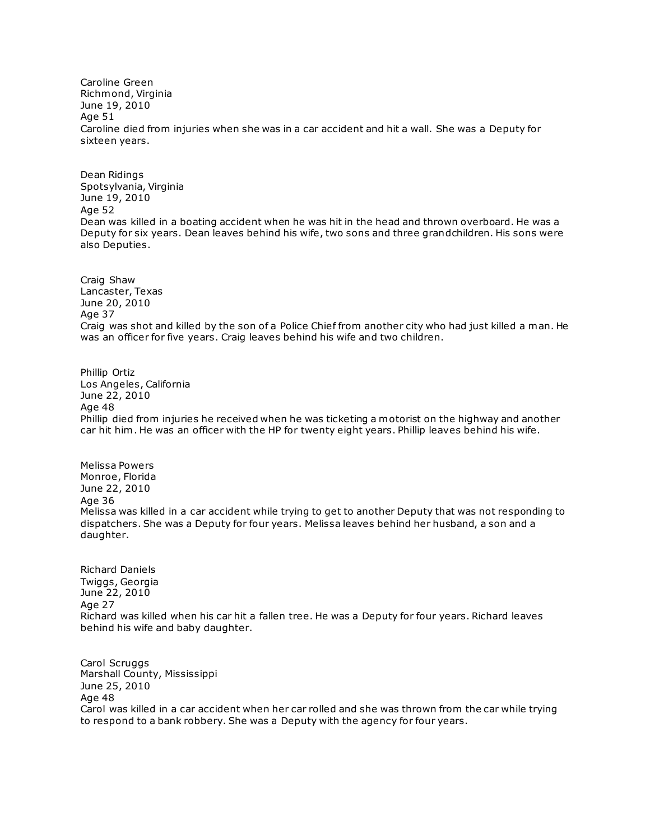Caroline Green Richmond, Virginia June 19, 2010 Age 51 Caroline died from injuries when she was in a car accident and hit a wall. She was a Deputy for sixteen years.

Dean Ridings Spotsylvania, Virginia June 19, 2010 Age 52 Dean was killed in a boating accident when he was hit in the head and thrown overboard. He was a Deputy for six years. Dean leaves behind his wife, two sons and three grandchildren. His sons were also Deputies.

Craig Shaw Lancaster, Texas June 20, 2010 Age 37 Craig was shot and killed by the son of a Police Chief from another city who had just killed a man. He was an officer for five years. Craig leaves behind his wife and two children.

Phillip Ortiz Los Angeles, California June 22, 2010 Age 48 Phillip died from injuries he received when he was ticketing a motorist on the highway and another car hit him . He was an officer with the HP for twenty eight years. Phillip leaves behind his wife.

Melissa Powers Monroe, Florida June 22, 2010 Age 36 Melissa was killed in a car accident while trying to get to another Deputy that was not responding to dispatchers. She was a Deputy for four years. Melissa leaves behind her husband, a son and a daughter.

Richard Daniels Twiggs, Georgia June 22, 2010 Age 27 Richard was killed when his car hit a fallen tree. He was a Deputy for four years. Richard leaves behind his wife and baby daughter.

Carol Scruggs Marshall County, Mississippi June 25, 2010 Age 48 Carol was killed in a car accident when her car rolled and she was thrown from the car while trying to respond to a bank robbery. She was a Deputy with the agency for four years.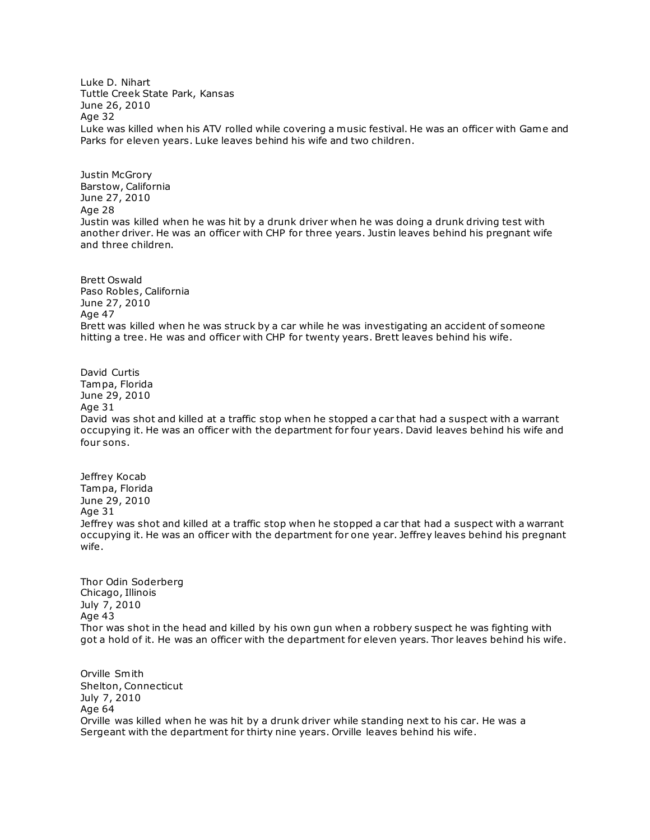Luke D. Nihart Tuttle Creek State Park, Kansas June 26, 2010 Age 32 Luke was killed when his ATV rolled while covering a music festival. He was an officer with Game and Parks for eleven years. Luke leaves behind his wife and two children.

Justin McGrory Barstow, California June 27, 2010 Age 28 Justin was killed when he was hit by a drunk driver when he was doing a drunk driving test with another driver. He was an officer with CHP for three years. Justin leaves behind his pregnant wife and three children.

Brett Oswald Paso Robles, California June 27, 2010 Age 47 Brett was killed when he was struck by a car while he was investigating an accident of someone hitting a tree. He was and officer with CHP for twenty years. Brett leaves behind his wife.

David Curtis Tampa, Florida June 29, 2010 Age 31 David was shot and killed at a traffic stop when he stopped a car that had a suspect with a warrant occupying it. He was an officer with the department for four years. David leaves behind his wife and four sons.

Jeffrey Kocab Tampa, Florida June 29, 2010 Age 31 Jeffrey was shot and killed at a traffic stop when he stopped a car that had a suspect with a warrant occupying it. He was an officer with the department for one year. Jeffrey leaves behind his pregnant wife.

Thor Odin Soderberg Chicago, Illinois July 7, 2010 Age 43 Thor was shot in the head and killed by his own gun when a robbery suspect he was fighting with got a hold of it. He was an officer with the department for eleven years. Thor leaves behind his wife.

Orville Smith Shelton, Connecticut July 7, 2010 Age 64 Orville was killed when he was hit by a drunk driver while standing next to his car. He was a Sergeant with the department for thirty nine years. Orville leaves behind his wife.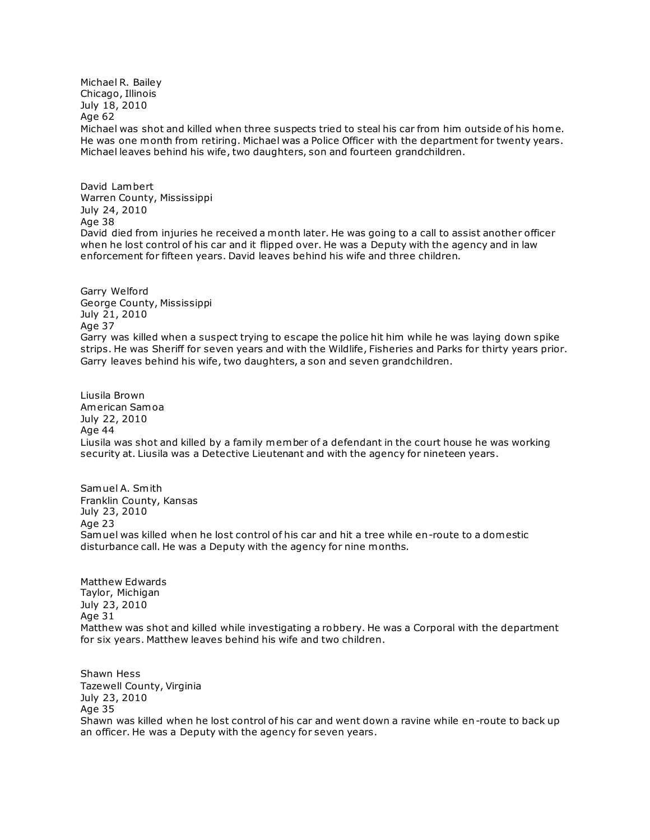Michael R. Bailey Chicago, Illinois July 18, 2010 Age 62 Michael was shot and killed when three suspects tried to steal his car from him outside of his home. He was one month from retiring. Michael was a Police Officer with the department for twenty years. Michael leaves behind his wife, two daughters, son and fourteen grandchildren.

David Lambert Warren County, Mississippi July 24, 2010 Age 38 David died from injuries he received a month later. He was going to a call to assist another officer when he lost control of his car and it flipped over. He was a Deputy with the agency and in law enforcement for fifteen years. David leaves behind his wife and three children.

Garry Welford George County, Mississippi July 21, 2010 Age 37 Garry was killed when a suspect trying to escape the police hit him while he was laying down spike strips. He was Sheriff for seven years and with the Wildlife, Fisheries and Parks for thirty years prior. Garry leaves behind his wife, two daughters, a son and seven grandchildren.

Liusila Brown American Samoa July 22, 2010 Age 44 Liusila was shot and killed by a family member of a defendant in the court house he was working security at. Liusila was a Detective Lieutenant and with the agency for nineteen years.

Samuel A. Smith Franklin County, Kansas July 23, 2010 Age 23 Samuel was killed when he lost control of his car and hit a tree while en-route to a domestic disturbance call. He was a Deputy with the agency for nine months.

Matthew Edwards Taylor, Michigan July 23, 2010 Age 31 Matthew was shot and killed while investigating a robbery. He was a Corporal with the department for six years. Matthew leaves behind his wife and two children.

Shawn Hess Tazewell County, Virginia July 23, 2010 Age 35 Shawn was killed when he lost control of his car and went down a ravine while en-route to back up an officer. He was a Deputy with the agency for seven years.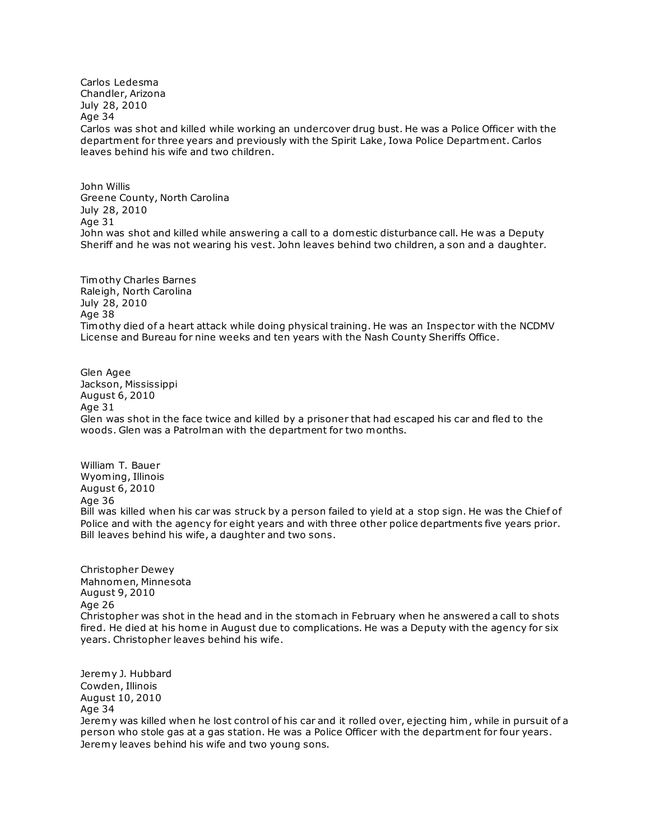Carlos Ledesma Chandler, Arizona July 28, 2010 Age 34 Carlos was shot and killed while working an undercover drug bust. He was a Police Officer with the department for three years and previously with the Spirit Lake, Iowa Police Department. Carlos leaves behind his wife and two children.

John Willis Greene County, North Carolina July 28, 2010 Age 31 John was shot and killed while answering a call to a domestic disturbance call. He was a Deputy Sheriff and he was not wearing his vest. John leaves behind two children, a son and a daughter.

Timothy Charles Barnes Raleigh, North Carolina July 28, 2010 Age 38 Timothy died of a heart attack while doing physical training. He was an Inspec tor with the NCDMV License and Bureau for nine weeks and ten years with the Nash County Sheriffs Office.

Glen Agee Jackson, Mississippi August 6, 2010 Age 31 Glen was shot in the face twice and killed by a prisoner that had escaped his car and fled to the woods. Glen was a Patrolman with the department for two months.

William T. Bauer Wyoming, Illinois August 6, 2010 Age 36 Bill was killed when his car was struck by a person failed to yield at a stop sign. He was the Chief of Police and with the agency for eight years and with three other police departments five years prior. Bill leaves behind his wife, a daughter and two sons.

Christopher Dewey Mahnomen, Minnesota August 9, 2010 Age 26 Christopher was shot in the head and in the stomach in February when he answered a call to shots fired. He died at his home in August due to complications. He was a Deputy with the agency for six years. Christopher leaves behind his wife.

Jeremy J. Hubbard Cowden, Illinois August 10, 2010 Age 34 Jeremy was killed when he lost control of his car and it rolled over, ejecting him , while in pursuit of a person who stole gas at a gas station. He was a Police Officer with the department for four years. Jeremy leaves behind his wife and two young sons.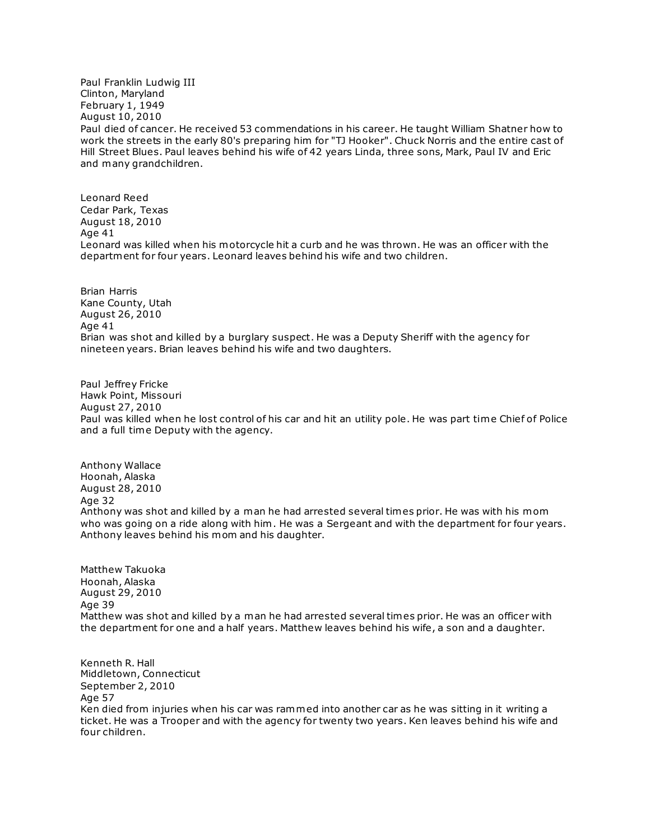Paul Franklin Ludwig III Clinton, Maryland February 1, 1949 August 10, 2010 Paul died of cancer. He received 53 commendations in his career. He taught William Shatner how to work the streets in the early 80's preparing him for "TJ Hooker". Chuck Norris and the entire cast of Hill Street Blues. Paul leaves behind his wife of 42 years Linda, three sons, Mark, Paul IV and Eric and many grandchildren.

Leonard Reed Cedar Park, Texas August 18, 2010 Age 41 Leonard was killed when his motorcycle hit a curb and he was thrown. He was an officer with the department for four years. Leonard leaves behind his wife and two children.

Brian Harris Kane County, Utah August 26, 2010 Age 41 Brian was shot and killed by a burglary suspect. He was a Deputy Sheriff with the agency for nineteen years. Brian leaves behind his wife and two daughters.

Paul Jeffrey Fricke Hawk Point, Missouri August 27, 2010 Paul was killed when he lost control of his car and hit an utility pole. He was part time Chief of Police and a full time Deputy with the agency.

Anthony Wallace Hoonah, Alaska August 28, 2010 Age 32 Anthony was shot and killed by a man he had arrested several times prior. He was with his mom who was going on a ride along with him . He was a Sergeant and with the department for four years. Anthony leaves behind his mom and his daughter.

Matthew Takuoka Hoonah, Alaska August 29, 2010 Age 39 Matthew was shot and killed by a man he had arrested several times prior. He was an officer with the department for one and a half years. Matthew leaves behind his wife, a son and a daughter.

Kenneth R. Hall Middletown, Connecticut September 2, 2010 Age 57 Ken died from injuries when his car was rammed into another car as he was sitting in it writing a ticket. He was a Trooper and with the agency for twenty two years. Ken leaves behind his wife and four children.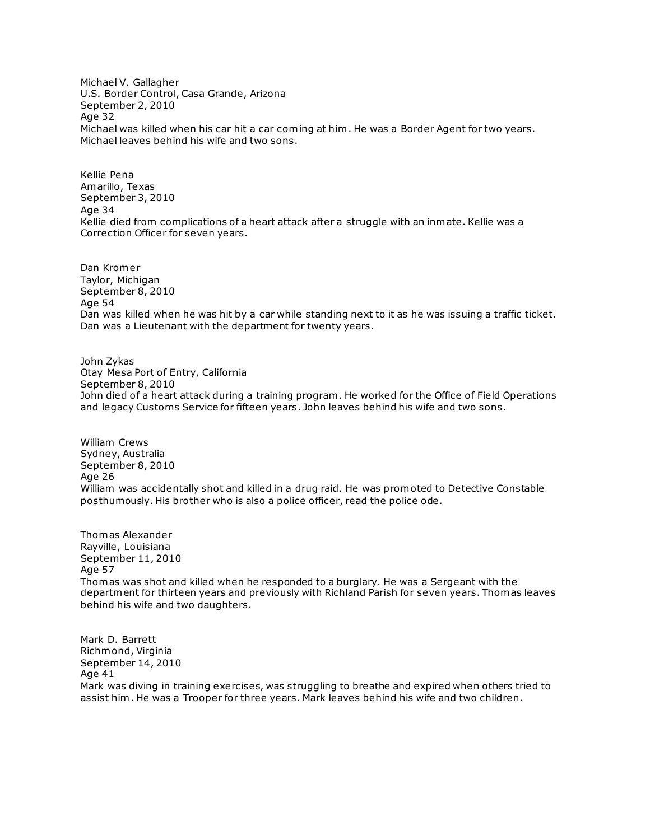Michael V. Gallagher U.S. Border Control, Casa Grande, Arizona September 2, 2010 Age 32 Michael was killed when his car hit a car coming at him . He was a Border Agent for two years. Michael leaves behind his wife and two sons.

Kellie Pena Amarillo, Texas September 3, 2010 Age 34 Kellie died from complications of a heart attack after a struggle with an inmate. Kellie was a Correction Officer for seven years.

Dan Kromer Taylor, Michigan September 8, 2010 Age 54 Dan was killed when he was hit by a car while standing next to it as he was issuing a traffic ticket. Dan was a Lieutenant with the department for twenty years.

John Zykas Otay Mesa Port of Entry, California September 8, 2010 John died of a heart attack during a training program . He worked for the Office of Field Operations and legacy Customs Service for fifteen years. John leaves behind his wife and two sons.

William Crews Sydney, Australia September 8, 2010 Age 26 William was accidentally shot and killed in a drug raid. He was promoted to Detective Constable posthumously. His brother who is also a police officer, read the police ode.

Thomas Alexander Rayville, Louisiana September 11, 2010 Age 57 Thomas was shot and killed when he responded to a burglary. He was a Sergeant with the department for thirteen years and previously with Richland Parish for seven years. Thomas leaves behind his wife and two daughters.

Mark D. Barrett Richmond, Virginia September 14, 2010 Age 41 Mark was diving in training exercises, was struggling to breathe and expired when others tried to assist him . He was a Trooper for three years. Mark leaves behind his wife and two children.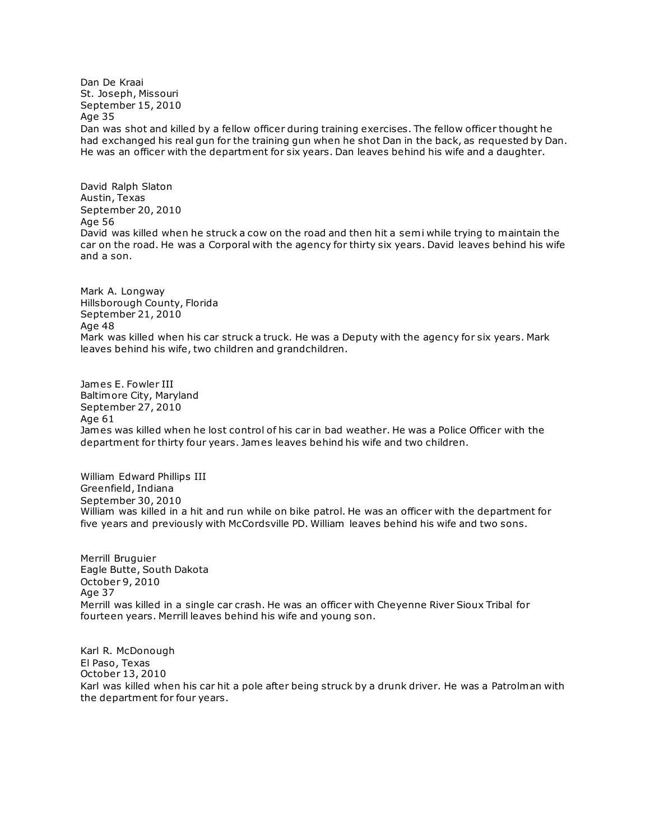Dan De Kraai St. Joseph, Missouri September 15, 2010 Age 35 Dan was shot and killed by a fellow officer during training exercises. The fellow officer thought he had exchanged his real gun for the training gun when he shot Dan in the back, as requested by Dan. He was an officer with the department for six years. Dan leaves behind his wife and a daughter.

David Ralph Slaton Austin, Texas September 20, 2010 Age 56 David was killed when he struck a cow on the road and then hit a semi while trying to maintain the car on the road. He was a Corporal with the agency for thirty six years. David leaves behind his wife and a son.

Mark A. Longway Hillsborough County, Florida September 21, 2010 Age 48 Mark was killed when his car struck a truck. He was a Deputy with the agency for six years. Mark leaves behind his wife, two children and grandchildren.

James E. Fowler III Baltimore City, Maryland September 27, 2010 Age 61 James was killed when he lost control of his car in bad weather. He was a Police Officer with the department for thirty four years. James leaves behind his wife and two children.

William Edward Phillips III Greenfield, Indiana September 30, 2010 William was killed in a hit and run while on bike patrol. He was an officer with the department for five years and previously with McCordsville PD. William leaves behind his wife and two sons.

Merrill Bruguier Eagle Butte, South Dakota October 9, 2010 Age 37 Merrill was killed in a single car crash. He was an officer with Cheyenne River Sioux Tribal for fourteen years. Merrill leaves behind his wife and young son.

Karl R. McDonough El Paso, Texas October 13, 2010 Karl was killed when his car hit a pole after being struck by a drunk driver. He was a Patrolman with the department for four years.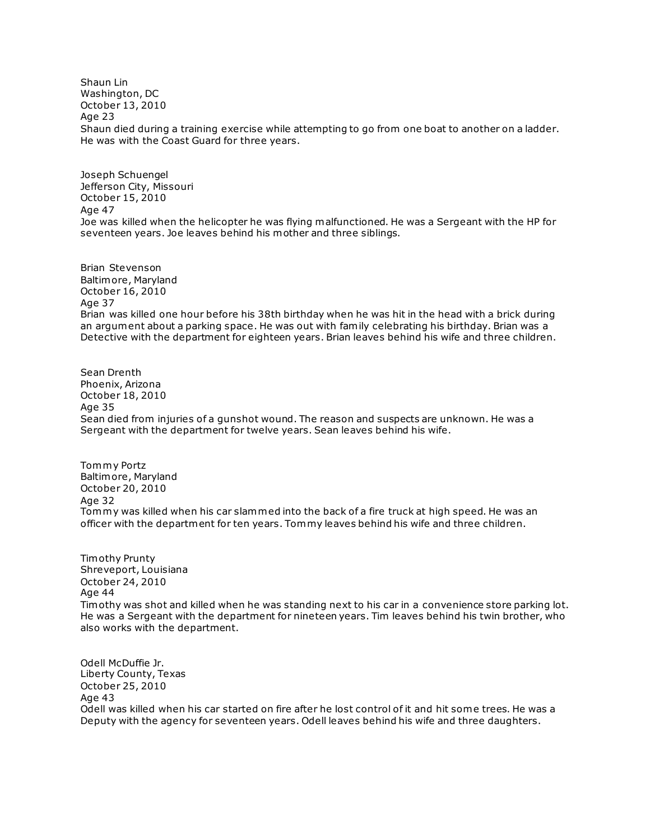Shaun Lin Washington, DC October 13, 2010 Age 23 Shaun died during a training exercise while attempting to go from one boat to another on a ladder. He was with the Coast Guard for three years.

Joseph Schuengel Jefferson City, Missouri October 15, 2010 Age 47 Joe was killed when the helicopter he was flying malfunctioned. He was a Sergeant with the HP for seventeen years. Joe leaves behind his mother and three siblings.

Brian Stevenson Baltimore, Maryland October 16, 2010 Age 37 Brian was killed one hour before his 38th birthday when he was hit in the head with a brick during an argument about a parking space. He was out with family celebrating his birthday. Brian was a Detective with the department for eighteen years. Brian leaves behind his wife and three children.

Sean Drenth Phoenix, Arizona October 18, 2010 Age 35 Sean died from injuries of a gunshot wound. The reason and suspects are unknown. He was a Sergeant with the department for twelve years. Sean leaves behind his wife.

Tommy Portz Baltimore, Maryland October 20, 2010 Age 32 Tommy was killed when his car slammed into the back of a fire truck at high speed. He was an officer with the department for ten years. Tommy leaves behind his wife and three children.

Timothy Prunty Shreveport, Louisiana October 24, 2010 Age 44 Timothy was shot and killed when he was standing next to his car in a convenience store parking lot. He was a Sergeant with the department for nineteen years. Tim leaves behind his twin brother, who also works with the department.

Odell McDuffie Jr. Liberty County, Texas October 25, 2010 Age 43 Odell was killed when his car started on fire after he lost control of it and hit some trees. He was a Deputy with the agency for seventeen years. Odell leaves behind his wife and three daughters.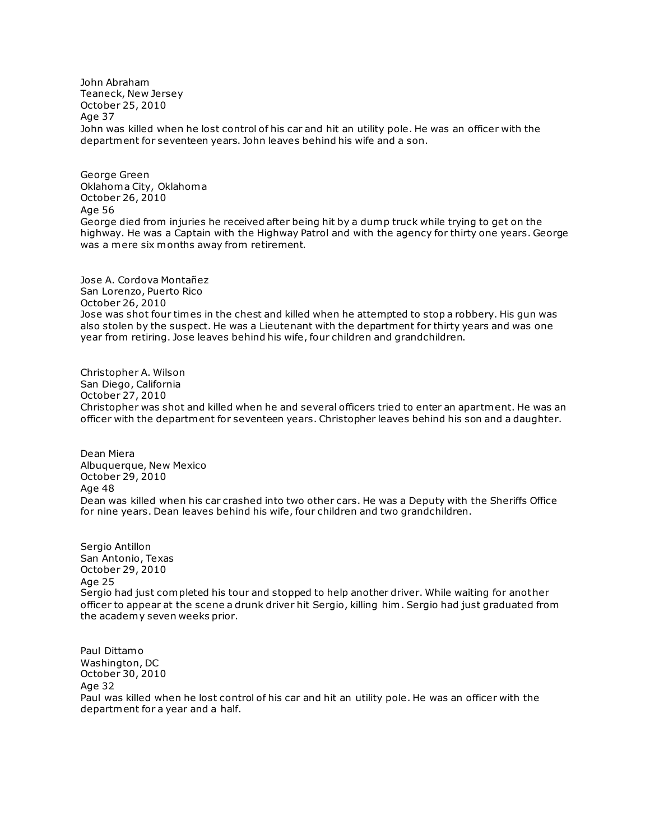John Abraham Teaneck, New Jersey October 25, 2010 Age 37 John was killed when he lost control of his car and hit an utility pole. He was an officer with the department for seventeen years. John leaves behind his wife and a son.

George Green Oklahoma City, Oklahoma October 26, 2010 Age 56 George died from injuries he received after being hit by a dump truck while trying to get on the highway. He was a Captain with the Highway Patrol and with the agency for thirty one years. George was a mere six months away from retirement.

Jose A. Cordova Montañez San Lorenzo, Puerto Rico October 26, 2010 Jose was shot four times in the chest and killed when he attempted to stop a robbery. His gun was also stolen by the suspect. He was a Lieutenant with the department for thirty years and was one year from retiring. Jose leaves behind his wife, four children and grandchildren.

Christopher A. Wilson San Diego, California October 27, 2010 Christopher was shot and killed when he and several officers tried to enter an apartment. He was an officer with the department for seventeen years. Christopher leaves behind his son and a daughter.

Dean Miera Albuquerque, New Mexico October 29, 2010 Age 48 Dean was killed when his car crashed into two other cars. He was a Deputy with the Sheriffs Office for nine years. Dean leaves behind his wife, four children and two grandchildren.

Sergio Antillon San Antonio, Texas October 29, 2010 Age 25 Sergio had just completed his tour and stopped to help another driver. While waiting for another officer to appear at the scene a drunk driver hit Sergio, killing him . Sergio had just graduated from the academy seven weeks prior.

Paul Dittamo Washington, DC October 30, 2010 Age 32 Paul was killed when he lost control of his car and hit an utility pole. He was an officer with the department for a year and a half.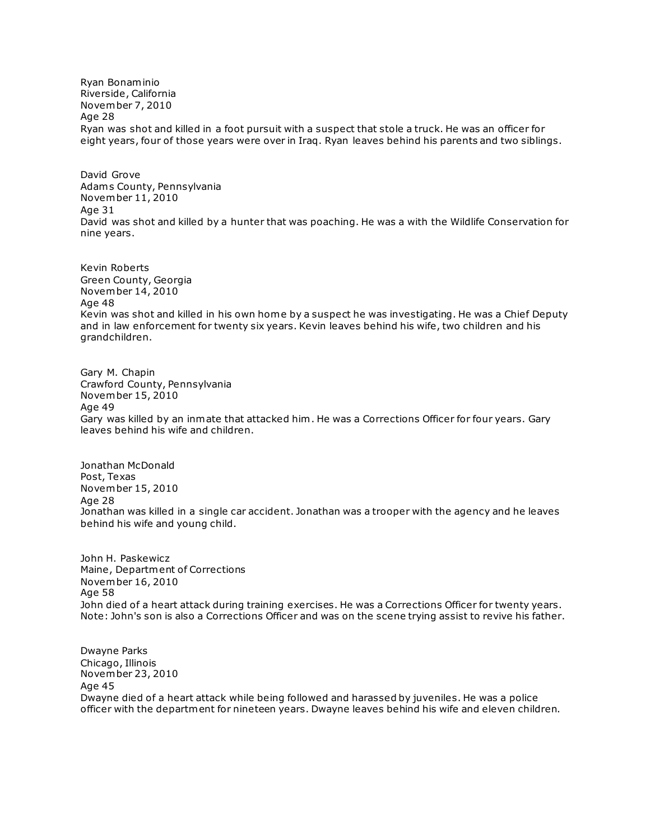Ryan Bonaminio Riverside, California November 7, 2010 Age 28 Ryan was shot and killed in a foot pursuit with a suspect that stole a truck. He was an officer for eight years, four of those years were over in Iraq. Ryan leaves behind his parents and two siblings.

David Grove Adam s County, Pennsylvania November 11, 2010 Age 31 David was shot and killed by a hunter that was poaching. He was a with the Wildlife Conservation for nine years.

Kevin Roberts Green County, Georgia November 14, 2010 Age 48 Kevin was shot and killed in his own home by a suspect he was investigating. He was a Chief Deputy and in law enforcement for twenty six years. Kevin leaves behind his wife, two children and his grandchildren.

Gary M. Chapin Crawford County, Pennsylvania November 15, 2010 Age 49 Gary was killed by an inmate that attacked him . He was a Corrections Officer for four years. Gary leaves behind his wife and children.

Jonathan McDonald Post, Texas November 15, 2010 Age 28 Jonathan was killed in a single car accident. Jonathan was a trooper with the agency and he leaves behind his wife and young child.

John H. Paskewicz Maine, Department of Corrections November 16, 2010 Age 58 John died of a heart attack during training exercises. He was a Corrections Officer for twenty years. Note: John's son is also a Corrections Officer and was on the scene trying assist to revive his father.

Dwayne Parks Chicago, Illinois November 23, 2010 Age 45 Dwayne died of a heart attack while being followed and harassed by juveniles. He was a police officer with the department for nineteen years. Dwayne leaves behind his wife and eleven children.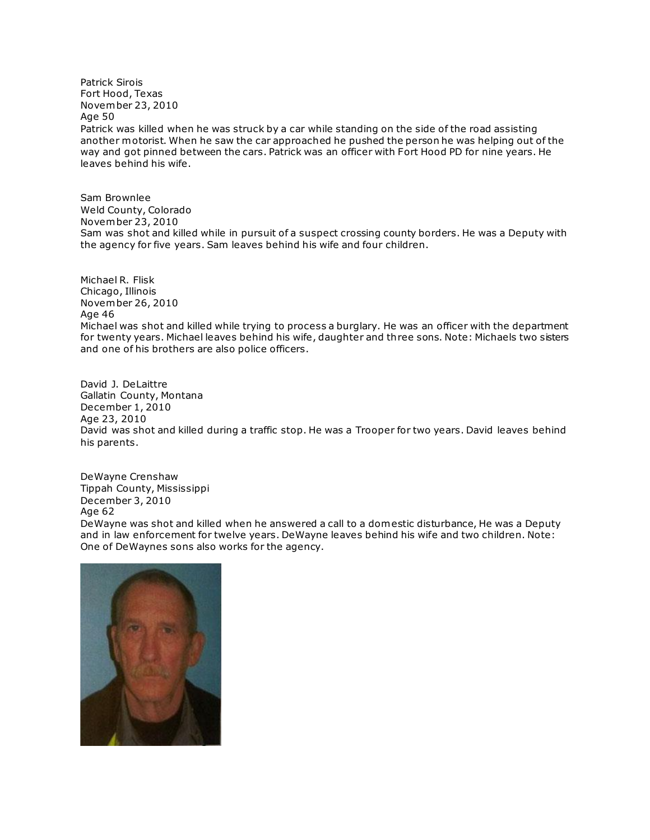Patrick Sirois Fort Hood, Texas November 23, 2010 Age 50

Patrick was killed when he was struck by a car while standing on the side of the road assisting another motorist. When he saw the car approached he pushed the person he was helping out of the way and got pinned between the cars. Patrick was an officer with Fort Hood PD for nine years. He leaves behind his wife.

Sam Brownlee Weld County, Colorado November 23, 2010 Sam was shot and killed while in pursuit of a suspect crossing county borders. He was a Deputy with the agency for five years. Sam leaves behind his wife and four children.

Michael R. Flisk Chicago, Illinois November 26, 2010 Age 46 Michael was shot and killed while trying to process a burglary. He was an officer with the department for twenty years. Michael leaves behind his wife, daughter and three sons. Note: Michaels two sisters and one of his brothers are also police officers.

David J. DeLaittre Gallatin County, Montana December 1, 2010 Age 23, 2010 David was shot and killed during a traffic stop. He was a Trooper for two years. David leaves behind his parents.

DeWayne Crenshaw Tippah County, Mississippi December 3, 2010 Age 62 DeWayne was shot and killed when he answered a call to a domestic disturbance, He was a Deputy and in law enforcement for twelve years. DeWayne leaves behind his wife and two children. Note: [On](http://www.copadorer.com/memorials/2010.html#thumb)e of DeWaynes sons also works for the agency.

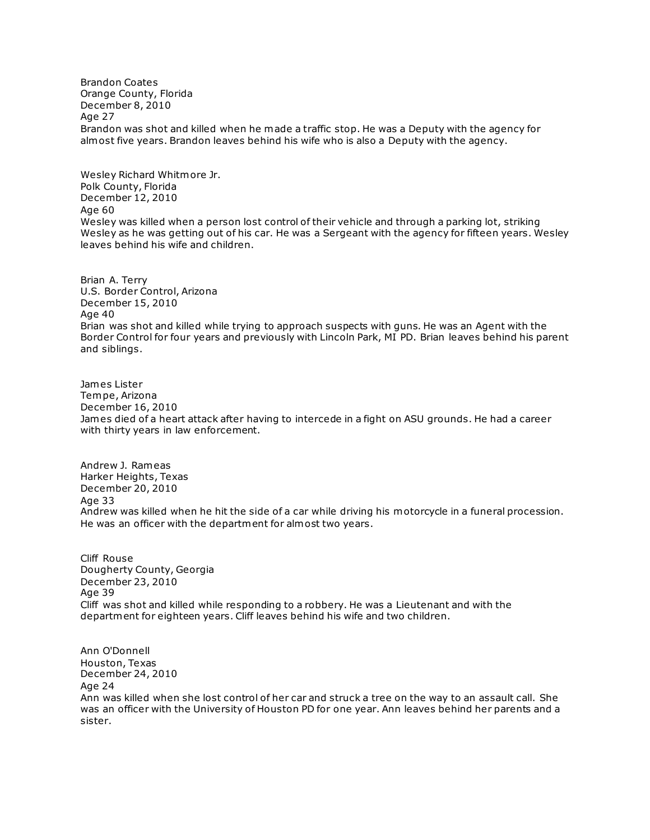Brandon Coates Orange County, Florida December 8, 2010 Age 27 Brandon was shot and killed when he made a traffic stop. He was a Deputy with the agency for almost five years. Brandon leaves behind his wife who is also a Deputy with the agency.

Wesley Richard Whitmore Jr. Polk County, Florida December 12, 2010 Age 60 Wesley was killed when a person lost control of their vehicle and through a parking lot, striking Wesley as he was getting out of his car. He was a Sergeant with the agency for fifteen years. Wesley leaves behind his wife and children.

Brian A. Terry U.S. Border Control, Arizona December 15, 2010 Age 40 Brian was shot and killed while trying to approach suspects with guns. He was an Agent with the Border Control for four years and previously with Lincoln Park, MI PD. Brian leaves behind his parent and siblings.

James Lister Tempe, Arizona December 16, 2010 James died of a heart attack after having to intercede in a fight on ASU grounds. He had a career with thirty years in law enforcement.

Andrew J. Rameas Harker Heights, Texas December 20, 2010 Age 33 Andrew was killed when he hit the side of a car while driving his motorcycle in a funeral procession. He was an officer with the department for almost two years.

Cliff Rouse Dougherty County, Georgia December 23, 2010 Age 39 Cliff was shot and killed while responding to a robbery. He was a Lieutenant and with the department for eighteen years. Cliff leaves behind his wife and two children.

Ann O'Donnell Houston, Texas December 24, 2010 Age 24 Ann was killed when she lost control of her car and struck a tree on the way to an assault call. She was an officer with the University of Houston PD for one year. Ann leaves behind her parents and a sister.